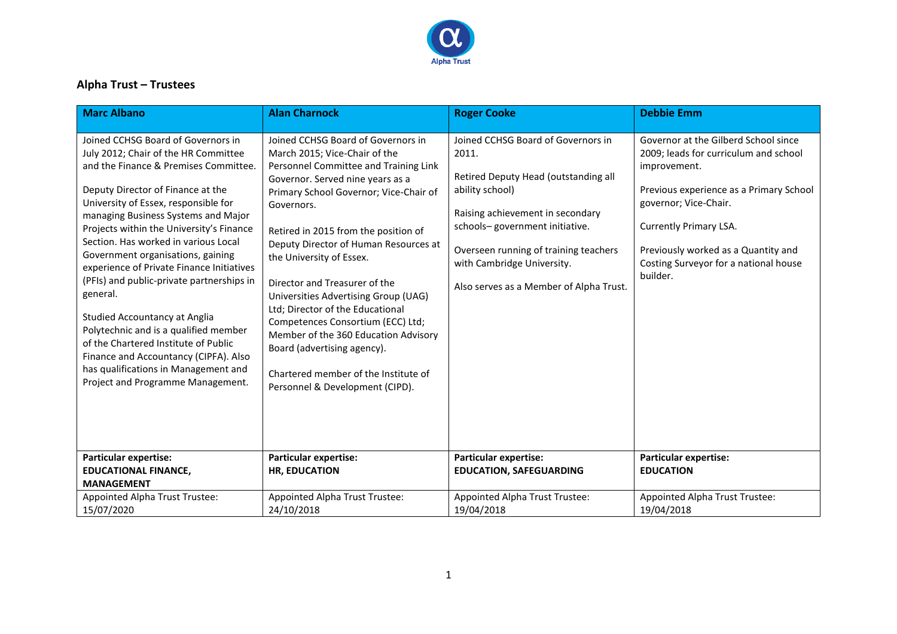

## **Alpha Trust – Trustees**

| <b>Marc Albano</b>                                                                                                                                                                                                                                                                                                                                                                                                                                                                                                                                                                                                                                                                                                    | <b>Alan Charnock</b>                                                                                                                                                                                                                                                                                                                                                                                                                                                                                                                                                                                                      | <b>Roger Cooke</b>                                                                                                                                                                                                                                                                             | <b>Debbie Emm</b>                                                                                                                                                                                                                                                                       |
|-----------------------------------------------------------------------------------------------------------------------------------------------------------------------------------------------------------------------------------------------------------------------------------------------------------------------------------------------------------------------------------------------------------------------------------------------------------------------------------------------------------------------------------------------------------------------------------------------------------------------------------------------------------------------------------------------------------------------|---------------------------------------------------------------------------------------------------------------------------------------------------------------------------------------------------------------------------------------------------------------------------------------------------------------------------------------------------------------------------------------------------------------------------------------------------------------------------------------------------------------------------------------------------------------------------------------------------------------------------|------------------------------------------------------------------------------------------------------------------------------------------------------------------------------------------------------------------------------------------------------------------------------------------------|-----------------------------------------------------------------------------------------------------------------------------------------------------------------------------------------------------------------------------------------------------------------------------------------|
| Joined CCHSG Board of Governors in<br>July 2012; Chair of the HR Committee<br>and the Finance & Premises Committee.<br>Deputy Director of Finance at the<br>University of Essex, responsible for<br>managing Business Systems and Major<br>Projects within the University's Finance<br>Section. Has worked in various Local<br>Government organisations, gaining<br>experience of Private Finance Initiatives<br>(PFIs) and public-private partnerships in<br>general.<br><b>Studied Accountancy at Anglia</b><br>Polytechnic and is a qualified member<br>of the Chartered Institute of Public<br>Finance and Accountancy (CIPFA). Also<br>has qualifications in Management and<br>Project and Programme Management. | Joined CCHSG Board of Governors in<br>March 2015; Vice-Chair of the<br>Personnel Committee and Training Link<br>Governor. Served nine years as a<br>Primary School Governor; Vice-Chair of<br>Governors.<br>Retired in 2015 from the position of<br>Deputy Director of Human Resources at<br>the University of Essex.<br>Director and Treasurer of the<br>Universities Advertising Group (UAG)<br>Ltd; Director of the Educational<br>Competences Consortium (ECC) Ltd;<br>Member of the 360 Education Advisory<br>Board (advertising agency).<br>Chartered member of the Institute of<br>Personnel & Development (CIPD). | Joined CCHSG Board of Governors in<br>2011.<br>Retired Deputy Head (outstanding all<br>ability school)<br>Raising achievement in secondary<br>schools-government initiative.<br>Overseen running of training teachers<br>with Cambridge University.<br>Also serves as a Member of Alpha Trust. | Governor at the Gilberd School since<br>2009; leads for curriculum and school<br>improvement.<br>Previous experience as a Primary School<br>governor; Vice-Chair.<br>Currently Primary LSA.<br>Previously worked as a Quantity and<br>Costing Surveyor for a national house<br>builder. |
| <b>Particular expertise:</b><br><b>EDUCATIONAL FINANCE,</b><br><b>MANAGEMENT</b>                                                                                                                                                                                                                                                                                                                                                                                                                                                                                                                                                                                                                                      | <b>Particular expertise:</b><br><b>HR, EDUCATION</b>                                                                                                                                                                                                                                                                                                                                                                                                                                                                                                                                                                      | <b>Particular expertise:</b><br><b>EDUCATION, SAFEGUARDING</b>                                                                                                                                                                                                                                 | <b>Particular expertise:</b><br><b>EDUCATION</b>                                                                                                                                                                                                                                        |
| Appointed Alpha Trust Trustee:<br>15/07/2020                                                                                                                                                                                                                                                                                                                                                                                                                                                                                                                                                                                                                                                                          | Appointed Alpha Trust Trustee:<br>24/10/2018                                                                                                                                                                                                                                                                                                                                                                                                                                                                                                                                                                              | Appointed Alpha Trust Trustee:<br>19/04/2018                                                                                                                                                                                                                                                   | Appointed Alpha Trust Trustee:<br>19/04/2018                                                                                                                                                                                                                                            |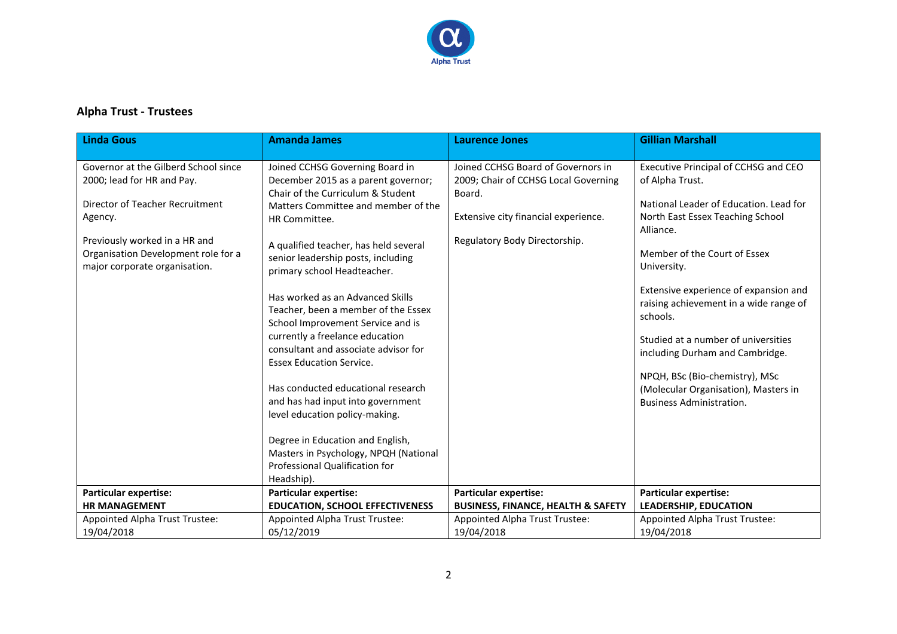

## **Alpha Trust - Trustees**

| <b>Linda Gous</b>                                                                                                                                                                                                         | <b>Amanda James</b>                                                                                                                                                                                                                                                                                                                                                                                                                                                                                                                                                                                                                                                                                                                                       | <b>Laurence Jones</b>                                                                                                                                         | <b>Gillian Marshall</b>                                                                                                                                                                                                                                                                                                                                                                                                                                                                 |
|---------------------------------------------------------------------------------------------------------------------------------------------------------------------------------------------------------------------------|-----------------------------------------------------------------------------------------------------------------------------------------------------------------------------------------------------------------------------------------------------------------------------------------------------------------------------------------------------------------------------------------------------------------------------------------------------------------------------------------------------------------------------------------------------------------------------------------------------------------------------------------------------------------------------------------------------------------------------------------------------------|---------------------------------------------------------------------------------------------------------------------------------------------------------------|-----------------------------------------------------------------------------------------------------------------------------------------------------------------------------------------------------------------------------------------------------------------------------------------------------------------------------------------------------------------------------------------------------------------------------------------------------------------------------------------|
| Governor at the Gilberd School since<br>2000; lead for HR and Pay.<br>Director of Teacher Recruitment<br>Agency.<br>Previously worked in a HR and<br>Organisation Development role for a<br>major corporate organisation. | Joined CCHSG Governing Board in<br>December 2015 as a parent governor;<br>Chair of the Curriculum & Student<br>Matters Committee and member of the<br>HR Committee.<br>A qualified teacher, has held several<br>senior leadership posts, including<br>primary school Headteacher.<br>Has worked as an Advanced Skills<br>Teacher, been a member of the Essex<br>School Improvement Service and is<br>currently a freelance education<br>consultant and associate advisor for<br><b>Essex Education Service.</b><br>Has conducted educational research<br>and has had input into government<br>level education policy-making.<br>Degree in Education and English,<br>Masters in Psychology, NPQH (National<br>Professional Qualification for<br>Headship). | Joined CCHSG Board of Governors in<br>2009; Chair of CCHSG Local Governing<br>Board.<br>Extensive city financial experience.<br>Regulatory Body Directorship. | Executive Principal of CCHSG and CEO<br>of Alpha Trust.<br>National Leader of Education. Lead for<br>North East Essex Teaching School<br>Alliance.<br>Member of the Court of Essex<br>University.<br>Extensive experience of expansion and<br>raising achievement in a wide range of<br>schools.<br>Studied at a number of universities<br>including Durham and Cambridge.<br>NPQH, BSc (Bio-chemistry), MSc<br>(Molecular Organisation), Masters in<br><b>Business Administration.</b> |
| <b>Particular expertise:</b>                                                                                                                                                                                              | <b>Particular expertise:</b>                                                                                                                                                                                                                                                                                                                                                                                                                                                                                                                                                                                                                                                                                                                              | <b>Particular expertise:</b>                                                                                                                                  | <b>Particular expertise:</b>                                                                                                                                                                                                                                                                                                                                                                                                                                                            |
| <b>HR MANAGEMENT</b>                                                                                                                                                                                                      | <b>EDUCATION, SCHOOL EFFECTIVENESS</b>                                                                                                                                                                                                                                                                                                                                                                                                                                                                                                                                                                                                                                                                                                                    | <b>BUSINESS, FINANCE, HEALTH &amp; SAFETY</b>                                                                                                                 | <b>LEADERSHIP, EDUCATION</b>                                                                                                                                                                                                                                                                                                                                                                                                                                                            |
| Appointed Alpha Trust Trustee:<br>19/04/2018                                                                                                                                                                              | Appointed Alpha Trust Trustee:<br>05/12/2019                                                                                                                                                                                                                                                                                                                                                                                                                                                                                                                                                                                                                                                                                                              | Appointed Alpha Trust Trustee:<br>19/04/2018                                                                                                                  | Appointed Alpha Trust Trustee:<br>19/04/2018                                                                                                                                                                                                                                                                                                                                                                                                                                            |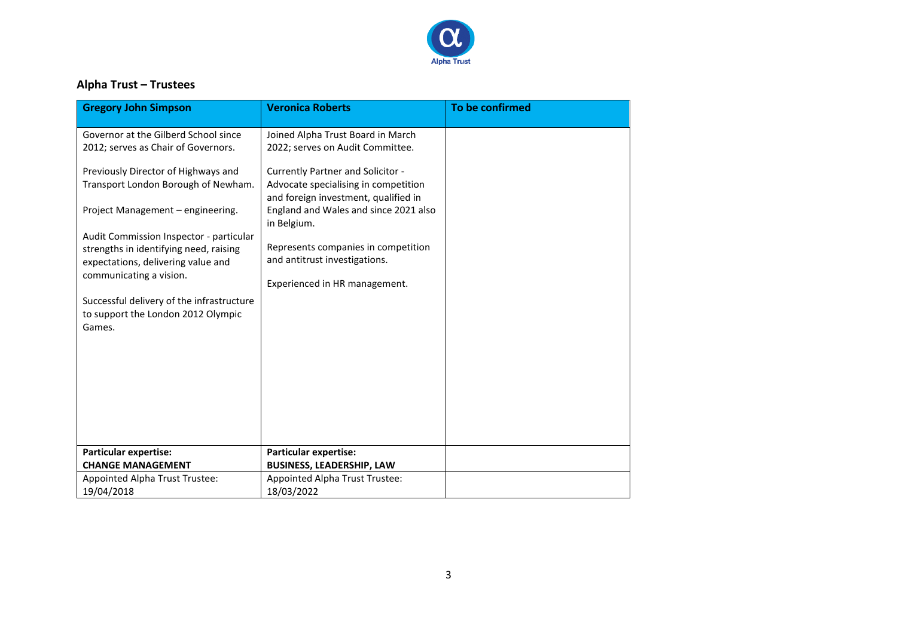

## **Alpha Trust – Trustees**

| <b>Gregory John Simpson</b>                                                               | <b>Veronica Roberts</b>                                                      | To be confirmed |
|-------------------------------------------------------------------------------------------|------------------------------------------------------------------------------|-----------------|
| Governor at the Gilberd School since                                                      | Joined Alpha Trust Board in March                                            |                 |
| 2012; serves as Chair of Governors.                                                       | 2022; serves on Audit Committee.                                             |                 |
| Previously Director of Highways and                                                       | <b>Currently Partner and Solicitor -</b>                                     |                 |
| Transport London Borough of Newham.                                                       | Advocate specialising in competition<br>and foreign investment, qualified in |                 |
| Project Management - engineering.                                                         | England and Wales and since 2021 also<br>in Belgium.                         |                 |
| Audit Commission Inspector - particular                                                   |                                                                              |                 |
| strengths in identifying need, raising<br>expectations, delivering value and              | Represents companies in competition<br>and antitrust investigations.         |                 |
| communicating a vision.                                                                   | Experienced in HR management.                                                |                 |
| Successful delivery of the infrastructure<br>to support the London 2012 Olympic<br>Games. |                                                                              |                 |
|                                                                                           |                                                                              |                 |
|                                                                                           |                                                                              |                 |
|                                                                                           |                                                                              |                 |
|                                                                                           |                                                                              |                 |
|                                                                                           |                                                                              |                 |
| <b>Particular expertise:</b><br><b>CHANGE MANAGEMENT</b>                                  | <b>Particular expertise:</b><br><b>BUSINESS, LEADERSHIP, LAW</b>             |                 |
| Appointed Alpha Trust Trustee:                                                            | Appointed Alpha Trust Trustee:                                               |                 |
| 19/04/2018                                                                                | 18/03/2022                                                                   |                 |